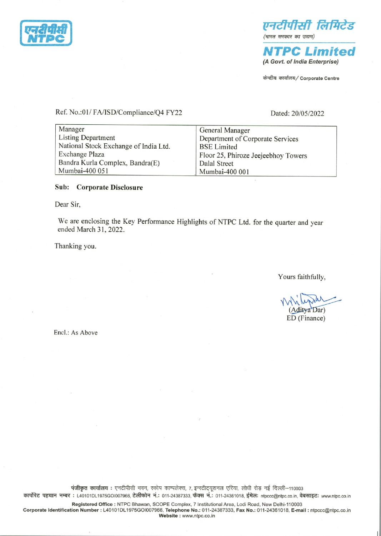

(A Govt. of India Enterprise)

Ref. No.:01/ FA/ISD/Compliance/Q4 FY22 Ref. No.:01/FA/ISD/Compliance/Q4 FY22

|                                                   | एनटीपीसी लिमि                                       |
|---------------------------------------------------|-----------------------------------------------------|
|                                                   | (भारत सरकार का उद्यम)                               |
|                                                   | <b>NTPC Limit</b><br>(A Govt. of India Enterprise   |
|                                                   | केन्द्रीय कार्यालय/ Corporate Centr                 |
|                                                   |                                                     |
| Ref. No.:01/ FA/ISD/Compliance/Q4 FY22            | Dated: 20/05/2022                                   |
| Manager                                           | General Manager                                     |
| <b>Listing Department</b>                         | Department of Corporate Services                    |
| National Stock Exchange of India Ltd.             | <b>BSE</b> Limited                                  |
| Exchange Plaza<br>Bandra Kurla Complex, Bandra(E) | Floor 25, Phiroze Jeejeebhoy Towers<br>Dalal Street |
| Mumbai-400 051                                    | Mumbai-400 001                                      |
|                                                   |                                                     |

# Sub: Corporate Disclosure

Dear Sir,

We are enclosing the Key Performance Highlights of NTPC Ltd. for the quarter and year ended March 31, 2022.

Thanking you.

Yours faithfully,

Ww (Aditya Dar) ED (Finance)

Encl.: As Above

पंजीकृत कार्यालय : एनटीपीसी भवन, स्कोप काम्पलेक्स, 7, इन्स्टीट्यूशनल एरिया, लोधी रोड़ नई दिल्ली-110003 कार्पोरेट पहचान नम्बर : L40101DL1975GOI007966, टेलीफोन नं.: 011-24387333, फैक्स नं.: 011-24361018, ईमेल: ntpccc@ntpc.co.in, वेबसाइट: www.ntpc.co.in

Registered Office : NTPC Bhawan, SCOPE Complex, 7 Institutional Area, Lodi Road, New Delhi-110003 Corporate Identification Number : L40101DL1975GOI007966, Telephone No.: 011-24387333, Fax No.: 011-24361018, E-mail : ntpcec@ntpc.co.in पंजीकृत कार्यात<br>कार्पोरेट पहचान नम्बर : L40101DL19<br>Registered O<br>Corporate Identification Number : Website : www.ntpc.co.in